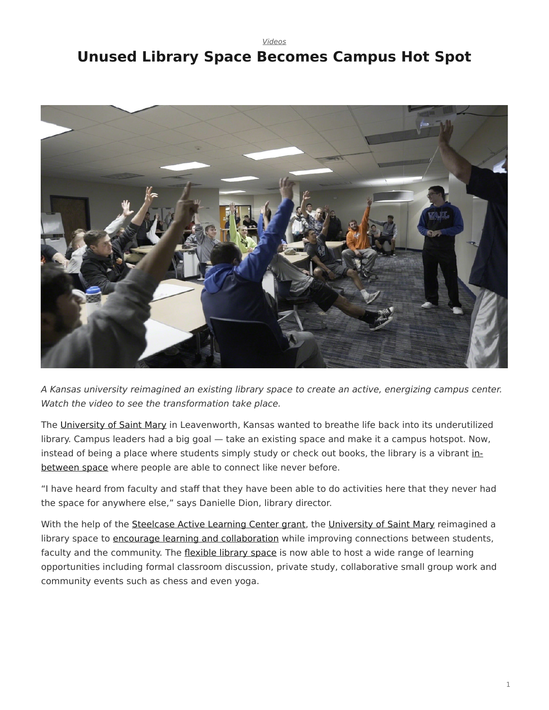*[Videos](https://www.steelcase.com/research/topics/video/)*

## <span id="page-0-0"></span>**Unused Library Space Becomes Campus Hot Spot**



*A Kansas university reimagined an existing library space to create an active, energizing campus center. Watch the video to see the transformation take place.*

The [University of Saint Mary](http://www.stmary.edu/) in Leavenworth, Kansas wanted to breathe life back into its underutilized library. Campus leaders had a big goal — take an existing space and make it a campus hotspot. Now, instead of being a place where students simply study or check out books, the library is a vibrant [in](https://www.steelcase.com/spaces-inspiration/active-learning-spaces-in-between-spaces/)[between](https://www.steelcase.com/spaces-inspiration/active-learning-spaces-in-between-spaces/) space where people are able to connect like never before.

"I have heard from faculty and staff that they have been able to do activities here that they never had the space for anywhere else," says Danielle Dion, library director.

With the help of the [Steelcase Active Learning Center grant,](https://www.steelcase.com/discover/information/education/active-learning-center-grant/?utm_source=360research&utm_medium=blog&utm_campaign=alcgrant&utm_content=saintmaryvideo) the [University of Saint Mary](https://youtu.be/ehtjYjRd2As) reimagined a library space to [encourage learning and collaboration](https://www.steelcase.com/insights/articles/class-can-i-have-your-attention/) while improving connections between students, faculty and the community. The [flexible library space](https://www.steelcase.com/spaces-inspiration/active-learning-spaces-libraries/) is now able to host a wide range of learning opportunities including formal classroom discussion, private study, collaborative small group work and community events such as chess and even yoga.